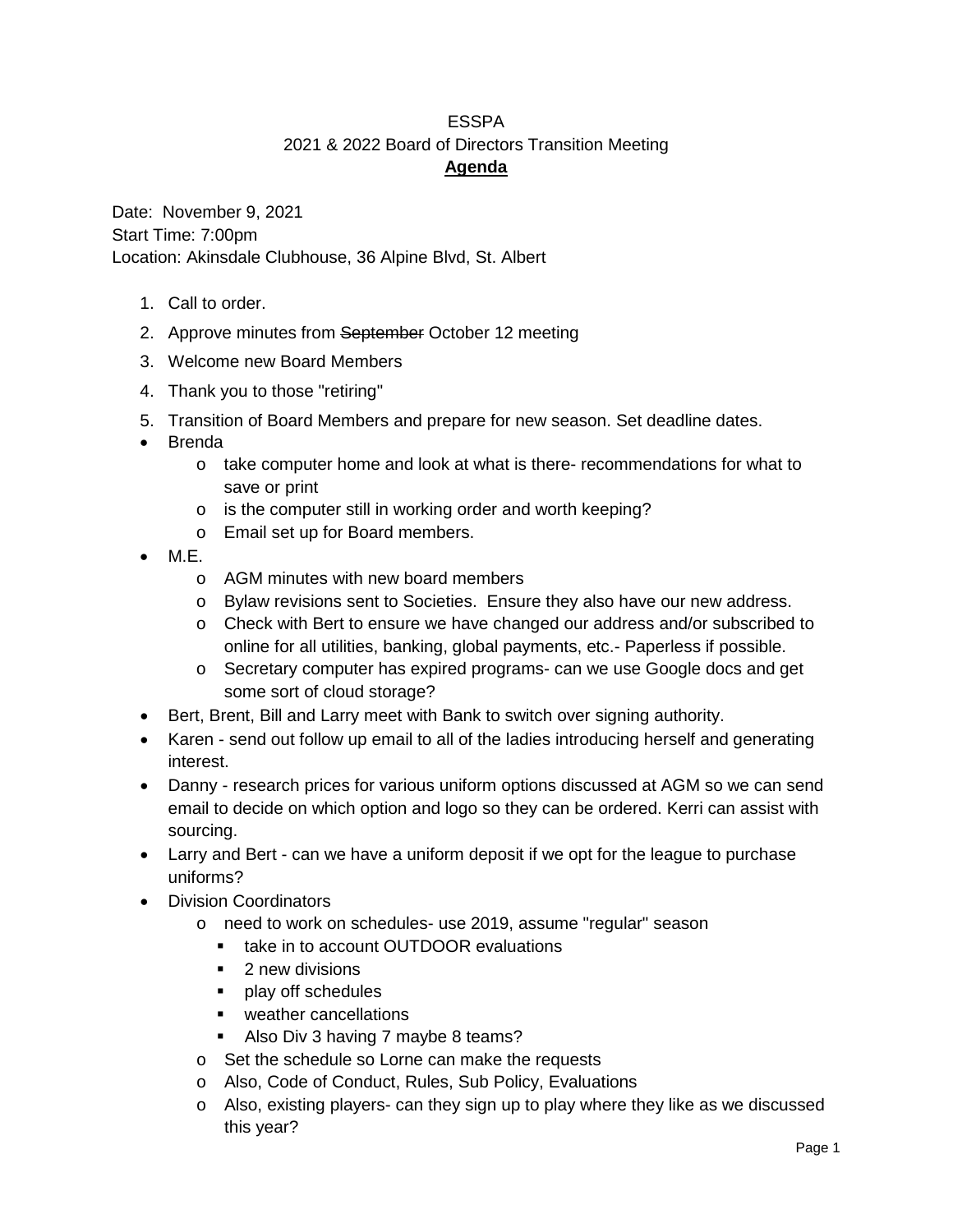## ESSPA 2021 & 2022 Board of Directors Transition Meeting **Agenda**

Date: November 9, 2021 Start Time: 7:00pm Location: Akinsdale Clubhouse, 36 Alpine Blvd, St. Albert

- 1. Call to order.
- 2. Approve minutes from September October 12 meeting
- 3. Welcome new Board Members
- 4. Thank you to those "retiring"
- 5. Transition of Board Members and prepare for new season. Set deadline dates.
- Brenda
	- o take computer home and look at what is there- recommendations for what to save or print
	- o is the computer still in working order and worth keeping?
	- o Email set up for Board members.
- M.E.
	- o AGM minutes with new board members
	- o Bylaw revisions sent to Societies. Ensure they also have our new address.
	- o Check with Bert to ensure we have changed our address and/or subscribed to online for all utilities, banking, global payments, etc.- Paperless if possible.
	- o Secretary computer has expired programs- can we use Google docs and get some sort of cloud storage?
- Bert, Brent, Bill and Larry meet with Bank to switch over signing authority.
- Karen send out follow up email to all of the ladies introducing herself and generating interest.
- Danny research prices for various uniform options discussed at AGM so we can send email to decide on which option and logo so they can be ordered. Kerri can assist with sourcing.
- Larry and Bert can we have a uniform deposit if we opt for the league to purchase uniforms?
- Division Coordinators
	- o need to work on schedules- use 2019, assume "regular" season
		- **take in to account OUTDOOR evaluations**
		- **2** new divisions
		- **play off schedules**
		- **•** weather cancellations
		- Also Div 3 having 7 maybe 8 teams?
	- o Set the schedule so Lorne can make the requests
	- o Also, Code of Conduct, Rules, Sub Policy, Evaluations
	- o Also, existing players- can they sign up to play where they like as we discussed this year?